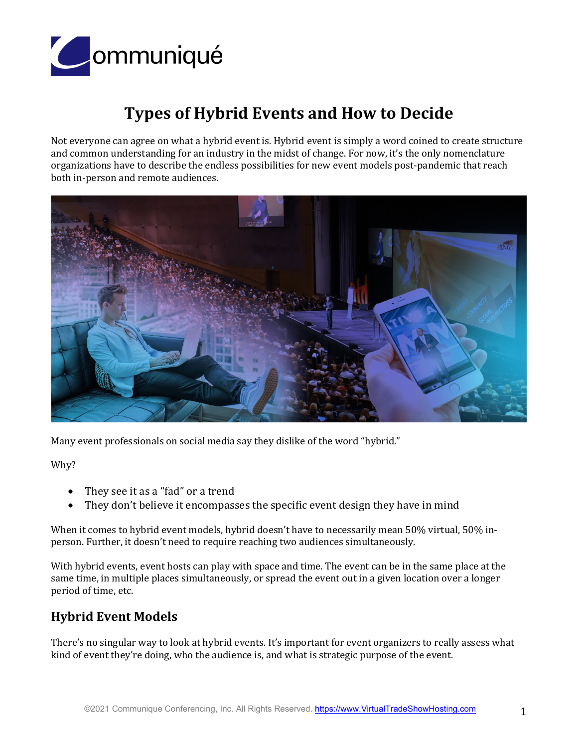

# **Types of Hybrid Events and How to Decide**

Not everyone can agree on what a hybrid event is. Hybrid event is simply a word coined to create structure and common understanding for an industry in the midst of change. For now, it's the only nomenclature organizations have to describe the endless possibilities for new event models post-pandemic that reach both in-person and remote audiences.



Many event professionals on social media say they dislike of the word "hybrid."

Why?

- They see it as a "fad" or a trend
- They don't believe it encompasses the specific event design they have in mind

When it comes to hybrid event models, hybrid doesn't have to necessarily mean 50% virtual, 50% inperson. Further, it doesn't need to require reaching two audiences simultaneously.

With hybrid events, event hosts can play with space and time. The event can be in the same place at the same time, in multiple places simultaneously, or spread the event out in a given location over a longer period of time, etc.

# **Hybrid Event Models**

There's no singular way to look at hybrid events. It's important for event organizers to really assess what kind of event they're doing, who the audience is, and what is strategic purpose of the event.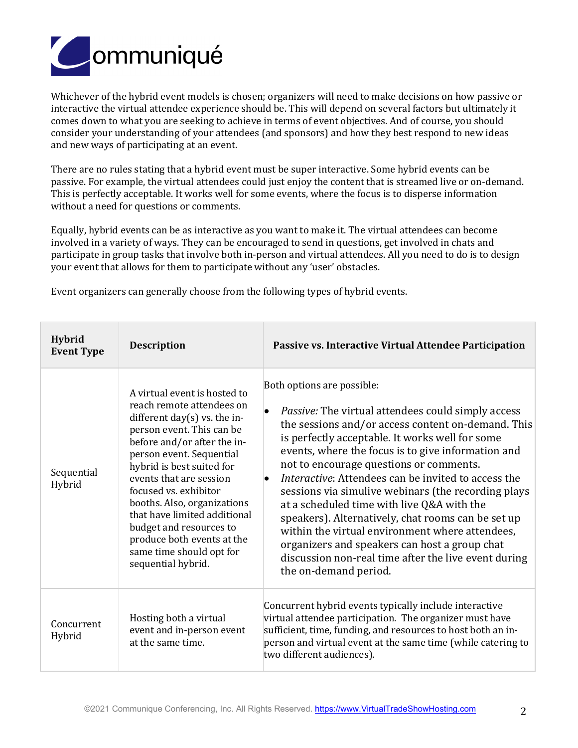

Whichever of the hybrid event models is chosen; organizers will need to make decisions on how passive or interactive the virtual attendee experience should be. This will depend on several factors but ultimately it comes down to what you are seeking to achieve in terms of event objectives. And of course, you should consider your understanding of your attendees (and sponsors) and how they best respond to new ideas and new ways of participating at an event.

There are no rules stating that a hybrid event must be super interactive. Some hybrid events can be passive. For example, the virtual attendees could just enjoy the content that is streamed live or on-demand. This is perfectly acceptable. It works well for some events, where the focus is to disperse information without a need for questions or comments.

Equally, hybrid events can be as interactive as you want to make it. The virtual attendees can become involved in a variety of ways. They can be encouraged to send in questions, get involved in chats and participate in group tasks that involve both in-person and virtual attendees. All you need to do is to design your event that allows for them to participate without any 'user' obstacles.

| <b>Hybrid</b><br><b>Event Type</b> | <b>Description</b>                                                                                                                                                                                                                                                                                                                                                                                                                              | Passive vs. Interactive Virtual Attendee Participation                                                                                                                                                                                                                                                                                                                                                                                                                                                                                                                                                                                                                                                   |
|------------------------------------|-------------------------------------------------------------------------------------------------------------------------------------------------------------------------------------------------------------------------------------------------------------------------------------------------------------------------------------------------------------------------------------------------------------------------------------------------|----------------------------------------------------------------------------------------------------------------------------------------------------------------------------------------------------------------------------------------------------------------------------------------------------------------------------------------------------------------------------------------------------------------------------------------------------------------------------------------------------------------------------------------------------------------------------------------------------------------------------------------------------------------------------------------------------------|
| Sequential<br>Hybrid               | A virtual event is hosted to<br>reach remote attendees on<br>different day $(s)$ vs. the in-<br>person event. This can be<br>before and/or after the in-<br>person event. Sequential<br>hybrid is best suited for<br>events that are session<br>focused vs. exhibitor<br>booths. Also, organizations<br>that have limited additional<br>budget and resources to<br>produce both events at the<br>same time should opt for<br>sequential hybrid. | Both options are possible:<br><i>Passive:</i> The virtual attendees could simply access<br>the sessions and/or access content on-demand. This<br>is perfectly acceptable. It works well for some<br>events, where the focus is to give information and<br>not to encourage questions or comments.<br>Interactive: Attendees can be invited to access the<br>sessions via simulive webinars (the recording plays<br>at a scheduled time with live Q&A with the<br>speakers). Alternatively, chat rooms can be set up<br>within the virtual environment where attendees,<br>organizers and speakers can host a group chat<br>discussion non-real time after the live event during<br>the on-demand period. |
| Concurrent<br>Hybrid               | Hosting both a virtual<br>event and in-person event<br>at the same time.                                                                                                                                                                                                                                                                                                                                                                        | Concurrent hybrid events typically include interactive<br>virtual attendee participation. The organizer must have<br>sufficient, time, funding, and resources to host both an in-<br>person and virtual event at the same time (while catering to<br>two different audiences).                                                                                                                                                                                                                                                                                                                                                                                                                           |

Event organizers can generally choose from the following types of hybrid events.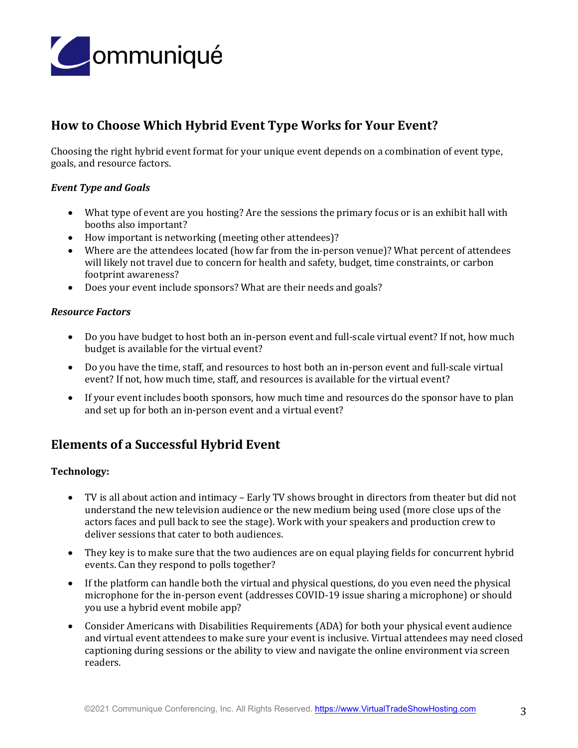

# **How to Choose Which Hybrid Event Type Works for Your Event?**

Choosing the right hybrid event format for your unique event depends on a combination of event type, goals, and resource factors.

# *Event Type and Goals*

- What type of event are you hosting? Are the sessions the primary focus or is an exhibit hall with booths also important?
- How important is networking (meeting other attendees)?
- Where are the attendees located (how far from the in-person venue)? What percent of attendees will likely not travel due to concern for health and safety, budget, time constraints, or carbon footprint awareness?
- Does your event include sponsors? What are their needs and goals?

### *Resource Factors*

- Do you have budget to host both an in-person event and full-scale virtual event? If not, how much budget is available for the virtual event?
- Do you have the time, staff, and resources to host both an in-person event and full-scale virtual event? If not, how much time, staff, and resources is available for the virtual event?
- If your event includes booth sponsors, how much time and resources do the sponsor have to plan and set up for both an in-person event and a virtual event?

# **Elements of a Successful Hybrid Event**

#### **Technology:**

- TV is all about action and intimacy Early TV shows brought in directors from theater but did not understand the new television audience or the new medium being used (more close ups of the actors faces and pull back to see the stage). Work with your speakers and production crew to deliver sessions that cater to both audiences.
- They key is to make sure that the two audiences are on equal playing fields for concurrent hybrid events. Can they respond to polls together?
- If the platform can handle both the virtual and physical questions, do you even need the physical microphone for the in-person event (addresses COVID-19 issue sharing a microphone) or should you use a hybrid event mobile app?
- Consider Americans with Disabilities Requirements (ADA) for both your physical event audience and virtual event attendees to make sure your event is inclusive. Virtual attendees may need closed captioning during sessions or the ability to view and navigate the online environment via screen readers.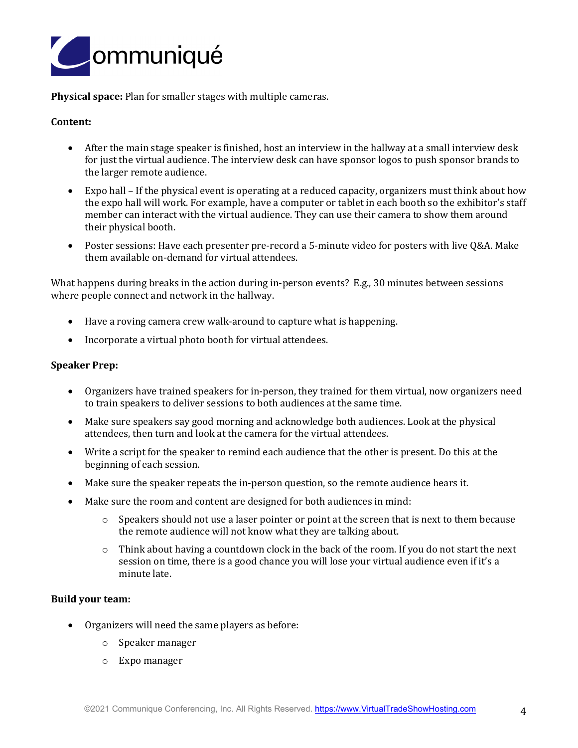

**Physical space:** Plan for smaller stages with multiple cameras.

## **Content:**

- After the main stage speaker is finished, host an interview in the hallway at a small interview desk for just the virtual audience. The interview desk can have sponsor logos to push sponsor brands to the larger remote audience.
- Expo hall If the physical event is operating at a reduced capacity, organizers must think about how the expo hall will work. For example, have a computer or tablet in each booth so the exhibitor's staff member can interact with the virtual audience. They can use their camera to show them around their physical booth.
- Poster sessions: Have each presenter pre-record a 5-minute video for posters with live Q&A. Make them available on-demand for virtual attendees.

What happens during breaks in the action during in-person events? E.g., 30 minutes between sessions where people connect and network in the hallway.

- Have a roving camera crew walk-around to capture what is happening.
- Incorporate a virtual photo booth for virtual attendees.

#### **Speaker Prep:**

- Organizers have trained speakers for in-person, they trained for them virtual, now organizers need to train speakers to deliver sessions to both audiences at the same time.
- Make sure speakers say good morning and acknowledge both audiences. Look at the physical attendees, then turn and look at the camera for the virtual attendees.
- Write a script for the speaker to remind each audience that the other is present. Do this at the beginning of each session.
- Make sure the speaker repeats the in-person question, so the remote audience hears it.
- Make sure the room and content are designed for both audiences in mind:
	- o Speakers should not use a laser pointer or point at the screen that is next to them because the remote audience will not know what they are talking about.
	- $\circ$  Think about having a countdown clock in the back of the room. If you do not start the next session on time, there is a good chance you will lose your virtual audience even if it's a minute late.

#### **Build your team:**

- Organizers will need the same players as before:
	- o Speaker manager
	- o Expo manager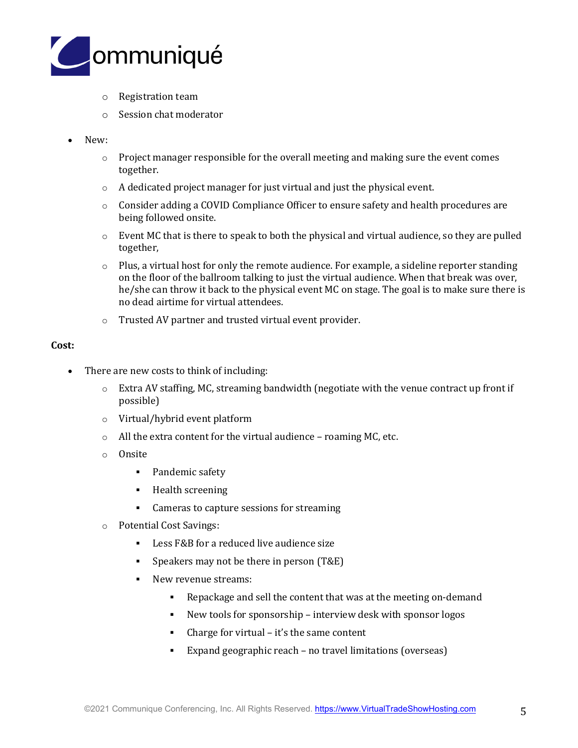

- o Registration team
- o Session chat moderator
- New:
	- $\circ$  Project manager responsible for the overall meeting and making sure the event comes together.
	- o A dedicated project manager for just virtual and just the physical event.
	- o Consider adding a COVID Compliance Officer to ensure safety and health procedures are being followed onsite.
	- $\circ$  Event MC that is there to speak to both the physical and virtual audience, so they are pulled together,
	- $\circ$  Plus, a virtual host for only the remote audience. For example, a sideline reporter standing on the floor of the ballroom talking to just the virtual audience. When that break was over, he/she can throw it back to the physical event MC on stage. The goal is to make sure there is no dead airtime for virtual attendees.
	- o Trusted AV partner and trusted virtual event provider.

### **Cost:**

- There are new costs to think of including:
	- $\circ$  Extra AV staffing, MC, streaming bandwidth (negotiate with the venue contract up front if possible)
	- o Virtual/hybrid event platform
	- o All the extra content for the virtual audience roaming MC, etc.
	- o Onsite
		- Pandemic safety
		- **•** Health screening
		- Cameras to capture sessions for streaming
	- o Potential Cost Savings:
		- Less F&B for a reduced live audience size
		- Speakers may not be there in person (T&E)
		- New revenue streams:
			- Repackage and sell the content that was at the meeting on-demand
			- New tools for sponsorship interview desk with sponsor logos
			- Charge for virtual  $-$  it's the same content
			- Expand geographic reach no travel limitations (overseas)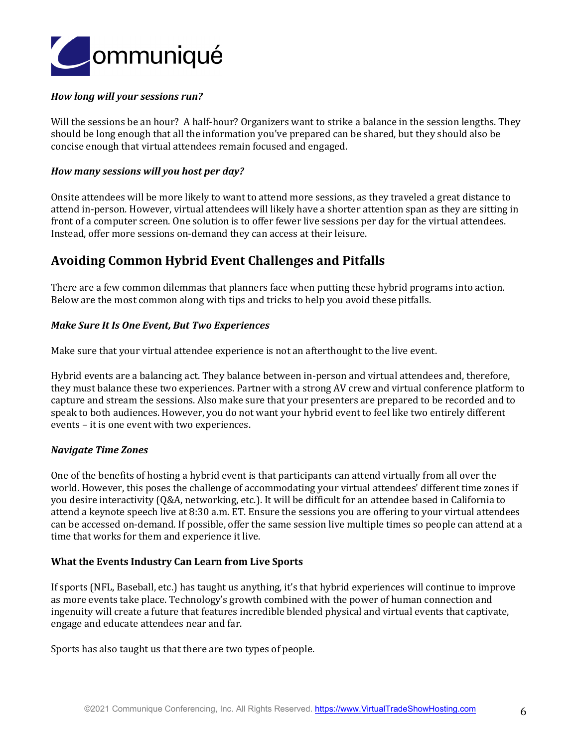

## *How long will your sessions run?*

Will the sessions be an hour? A half-hour? Organizers want to strike a balance in the session lengths. They should be long enough that all the information you've prepared can be shared, but they should also be concise enough that virtual attendees remain focused and engaged.

### *How many sessions will you host per day?*

Onsite attendees will be more likely to want to attend more sessions, as they traveled a great distance to attend in-person. However, virtual attendees will likely have a shorter attention span as they are sitting in front of a computer screen. One solution is to offer fewer live sessions per day for the virtual attendees. Instead, offer more sessions on-demand they can access at their leisure.

# **Avoiding Common Hybrid Event Challenges and Pitfalls**

There are a few common dilemmas that planners face when putting these hybrid programs into action. Below are the most common along with tips and tricks to help you avoid these pitfalls.

### *Make Sure It Is One Event, But Two Experiences*

Make sure that your virtual attendee experience is not an afterthought to the live event.

Hybrid events are a balancing act. They balance between in-person and virtual attendees and, therefore, they must balance these two experiences. Partner with a strong AV crew and virtual conference platform to capture and stream the sessions. Also make sure that your presenters are prepared to be recorded and to speak to both audiences. However, you do not want your hybrid event to feel like two entirely different events – it is one event with two experiences.

#### *Navigate Time Zones*

One of the benefits of hosting a hybrid event is that participants can attend virtually from all over the world. However, this poses the challenge of accommodating your virtual attendees' different time zones if you desire interactivity (Q&A, networking, etc.). It will be difficult for an attendee based in California to attend a keynote speech live at 8:30 a.m. ET. Ensure the sessions you are offering to your virtual attendees can be accessed on-demand. If possible, offer the same session live multiple times so people can attend at a time that works for them and experience it live.

#### **What the Events Industry Can Learn from Live Sports**

If sports (NFL, Baseball, etc.) has taught us anything, it's that hybrid experiences will continue to improve as more events take place. Technology's growth combined with the power of human connection and ingenuity will create a future that features incredible blended physical and virtual events that captivate, engage and educate attendees near and far.

Sports has also taught us that there are two types of people.